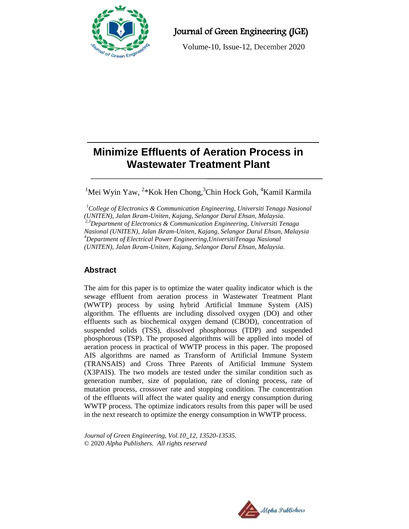

Journal of Green Engineering (JGE)

Volume-10, Issue-12, December 2020

# **Minimize Effluents of Aeration Process in Wastewater Treatment Plant**

<sup>1</sup>Mei Wyin Yaw, <sup>2</sup>\*Kok Hen Chong, <sup>3</sup>Chin Hock Goh, <sup>4</sup>Kamil Karmila

*<sup>1</sup>College of Electronics & Communication Engineering, Universiti Tenaga Nasional (UNITEN), Jalan Ikram-Uniten, Kajang, Selangor Darul Ehsan, Malaysia. 2,3Department of Electronics & Communication Engineering, Universiti Tenaga Nasional (UNITEN), Jalan Ikram-Uniten, Kajang, Selangor Darul Ehsan, Malaysia <sup>4</sup>Department of Electrical Power Engineering,UniversitiTenaga Nasional (UNITEN), Jalan Ikram-Uniten, Kajang, Selangor Darul Ehsan, Malaysia.*

# **Abstract**

The aim for this paper is to optimize the water quality indicator which is the sewage effluent from aeration process in Wastewater Treatment Plant (WWTP) process by using hybrid Artificial Immune System (AIS) algorithm. The effluents are including dissolved oxygen (DO) and other effluents such as biochemical oxygen demand (CBOD), concentration of suspended solids (TSS), dissolved phosphorous (TDP) and suspended phosphorous (TSP). The proposed algorithms will be applied into model of aeration process in practical of WWTP process in this paper. The proposed AIS algorithms are named as Transform of Artificial Immune System (TRANSAIS) and Cross Three Parents of Artificial Immune System (X3PAIS). The two models are tested under the similar condition such as generation number, size of population, rate of cloning process, rate of mutation process, crossover rate and stopping condition. The concentration of the effluents will affect the water quality and energy consumption during WWTP process. The optimize indicators results from this paper will be used in the next research to optimize the energy consumption in WWTP process.

*Journal of Green Engineering, Vol.10\_12, 13520-13535.* © 2020 *Alpha Publishers. All rights reserved*

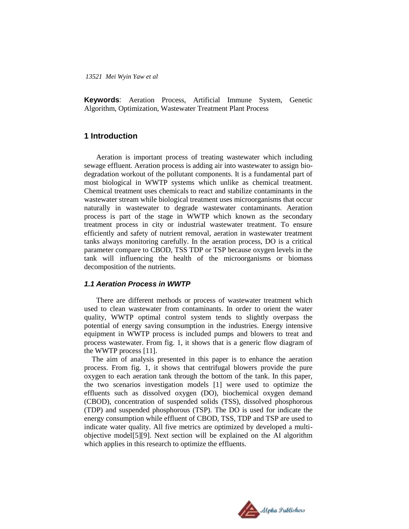**Keywords**: Aeration Process, Artificial Immune System, Genetic Algorithm, Optimization, Wastewater Treatment Plant Process

# **1 Introduction**

Aeration is important process of treating wastewater which including sewage effluent. Aeration process is adding air into wastewater to assign biodegradation workout of the pollutant components. It is a fundamental part of most biological in WWTP systems which unlike as chemical treatment. Chemical treatment uses chemicals to react and stabilize contaminants in the wastewater stream while biological treatment uses microorganisms that occur naturally in wastewater to degrade wastewater contaminants. Aeration process is part of the stage in WWTP which known as the secondary treatment process in city or industrial wastewater treatment. To ensure efficiently and safety of nutrient removal, aeration in wastewater treatment tanks always monitoring carefully. In the aeration process, DO is a critical parameter compare to CBOD, TSS TDP or TSP because oxygen levels in the tank will influencing the health of the microorganisms or biomass decomposition of the nutrients.

#### *1.1 Aeration Process in WWTP*

There are different methods or process of wastewater treatment which used to clean wastewater from contaminants. In order to orient the water quality, WWTP optimal control system tends to slightly overpass the potential of energy saving consumption in the industries. Energy intensive equipment in WWTP process is included pumps and blowers to treat and process wastewater. From fig. 1, it shows that is a generic flow diagram of the WWTP process [11].

The aim of analysis presented in this paper is to enhance the aeration process. From fig. 1, it shows that centrifugal blowers provide the pure oxygen to each aeration tank through the bottom of the tank. In this paper, the two scenarios investigation models [1] were used to optimize the effluents such as dissolved oxygen (DO), biochemical oxygen demand (CBOD), concentration of suspended solids (TSS), dissolved phosphorous (TDP) and suspended phosphorous (TSP). The DO is used for indicate the energy consumption while effluent of CBOD, TSS, TDP and TSP are used to indicate water quality. All five metrics are optimized by developed a multiobjective model[5][9]. Next section will be explained on the AI algorithm which applies in this research to optimize the effluents.

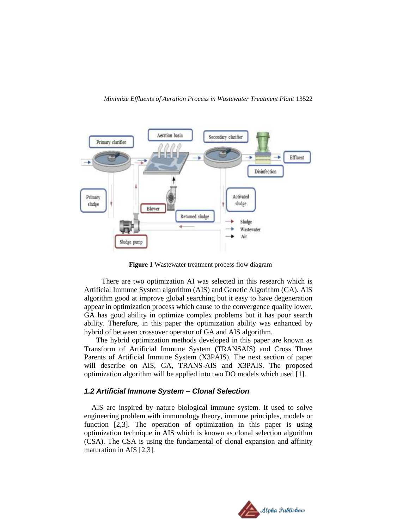

**Figure 1** Wastewater treatment process flow diagram

 There are two optimization AI was selected in this research which is Artificial Immune System algorithm (AIS) and Genetic Algorithm (GA). AIS algorithm good at improve global searching but it easy to have degeneration appear in optimization process which cause to the convergence quality lower. GA has good ability in optimize complex problems but it has poor search ability. Therefore, in this paper the optimization ability was enhanced by hybrid of between crossover operator of GA and AIS algorithm.

The hybrid optimization methods developed in this paper are known as Transform of Artificial Immune System (TRANSAIS) and Cross Three Parents of Artificial Immune System (X3PAIS). The next section of paper will describe on AIS, GA, TRANS-AIS and X3PAIS. The proposed optimization algorithm will be applied into two DO models which used [1].

# *1.2 Artificial Immune System – Clonal Selection*

AIS are inspired by nature biological immune system. It used to solve engineering problem with immunology theory, immune principles, models or function [2,3]. The operation of optimization in this paper is using optimization technique in AIS which is known as clonal selection algorithm (CSA). The CSA is using the fundamental of clonal expansion and affinity maturation in AIS [2,3].

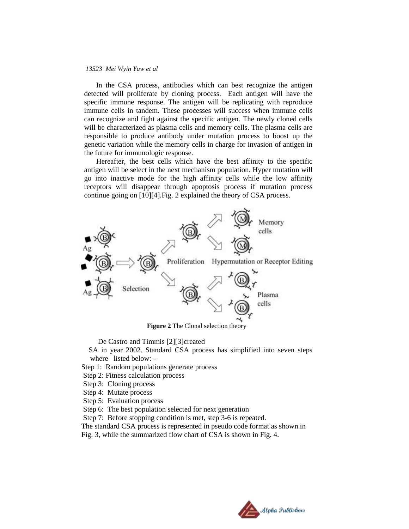In the CSA process, antibodies which can best recognize the antigen detected will proliferate by cloning process. Each antigen will have the specific immune response. The antigen will be replicating with reproduce immune cells in tandem. These processes will success when immune cells can recognize and fight against the specific antigen. The newly cloned cells will be characterized as plasma cells and memory cells. The plasma cells are responsible to produce antibody under mutation process to boost up the genetic variation while the memory cells in charge for invasion of antigen in the future for immunologic response.

Hereafter, the best cells which have the best affinity to the specific antigen will be select in the next mechanism population. Hyper mutation will go into inactive mode for the high affinity cells while the low affinity receptors will disappear through apoptosis process if mutation process continue going on [10][4].Fig. 2 explained the theory of CSA process.



 **Figure 2** The Clonal selection theory

De Castro and Timmis [2][3]created

 SA in year 2002. Standard CSA process has simplified into seven steps where listed below: -

Step 1: Random populations generate process

Step 2: Fitness calculation process

Step 3: Cloning process

Step 4: Mutate process

Step 5: Evaluation process

Step 6: The best population selected for next generation

Step 7: Before stopping condition is met, step 3-6 is repeated.

The standard CSA process is represented in pseudo code format as shown in

Fig. 3, while the summarized flow chart of CSA is shown in Fig. 4.

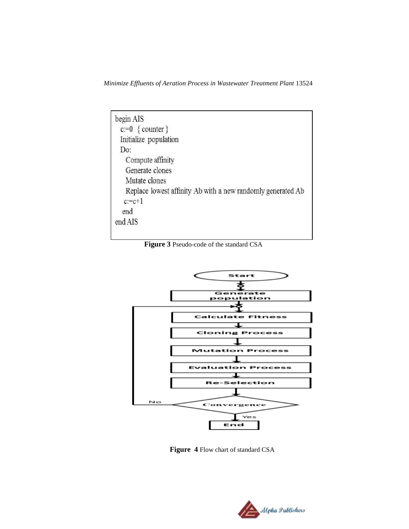*Minimize Effluents of Aeration Process in Wastewater Treatment Plant* 13524

| begin AIS                                                   |
|-------------------------------------------------------------|
| $c:=0 \{ counter\}$                                         |
| Initialize population                                       |
| Do:                                                         |
| Compute affinity                                            |
| Generate clones                                             |
| Mutate clones                                               |
| Replace lowest affinity Ab with a new randomly generated Ab |
| $c = c + 1$                                                 |
| end                                                         |
| end AIS                                                     |

**Figure 3** Pseudo-code of the standard CSA



 **Figure 4** Flow chart of standard CSA

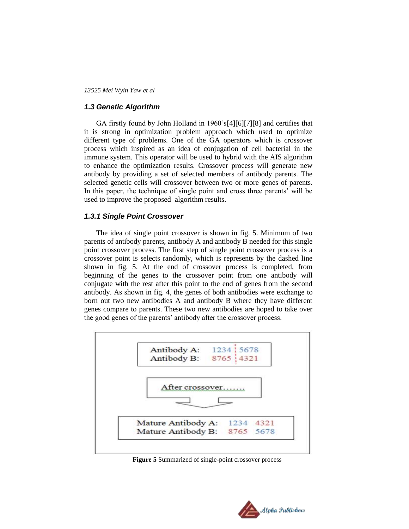## *1.3 Genetic Algorithm*

GA firstly found by John Holland in 1960's[4][6][7][8] and certifies that it is strong in optimization problem approach which used to optimize different type of problems. One of the GA operators which is crossover process which inspired as an idea of conjugation of cell bacterial in the immune system. This operator will be used to hybrid with the AIS algorithm to enhance the optimization results. Crossover process will generate new antibody by providing a set of selected members of antibody parents. The selected genetic cells will crossover between two or more genes of parents. In this paper, the technique of single point and cross three parents' will be used to improve the proposed algorithm results.

### *1.3.1 Single Point Crossover*

The idea of single point crossover is shown in fig. 5. Minimum of two parents of antibody parents, antibody A and antibody B needed for this single point crossover process. The first step of single point crossover process is a crossover point is selects randomly, which is represents by the dashed line shown in fig. 5. At the end of crossover process is completed, from beginning of the genes to the crossover point from one antibody will conjugate with the rest after this point to the end of genes from the second antibody. As shown in fig. 4, the genes of both antibodies were exchange to born out two new antibodies A and antibody B where they have different genes compare to parents. These two new antibodies are hoped to take over the good genes of the parents' antibody after the crossover process.



 **Figure 5** Summarized of single-point crossover process

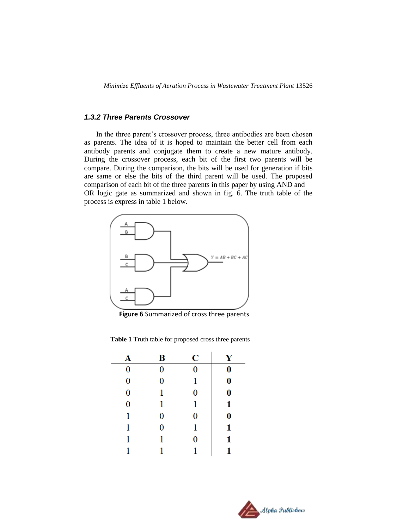*Minimize Effluents of Aeration Process in Wastewater Treatment Plant* 13526

### *1.3.2 Three Parents Crossover*

In the three parent's crossover process, three antibodies are been chosen as parents. The idea of it is hoped to maintain the better cell from each antibody parents and conjugate them to create a new mature antibody. During the crossover process, each bit of the first two parents will be compare. During the comparison, the bits will be used for generation if bits are same or else the bits of the third parent will be used. The proposed comparison of each bit of the three parents in this paper by using AND and OR logic gate as summarized and shown in fig. 6. The truth table of the process is express in table 1 below.



 **Figure 6** Summarized of cross three parents

**Table 1** Truth table for proposed cross three parents

| A        | B        | C | Y        |
|----------|----------|---|----------|
| $\bf{0}$ | $\bf{0}$ | 0 | 0        |
| 0        | 0        | 1 | $\bf{0}$ |
| 0        | 1        | 0 | 0        |
| 0        | 1        | 1 | 1        |
| 1        | 0        | 0 | 0        |
| 1        | 0        | 1 | 1        |
| 1        | 1        | 0 | 1        |
|          | 1        |   |          |

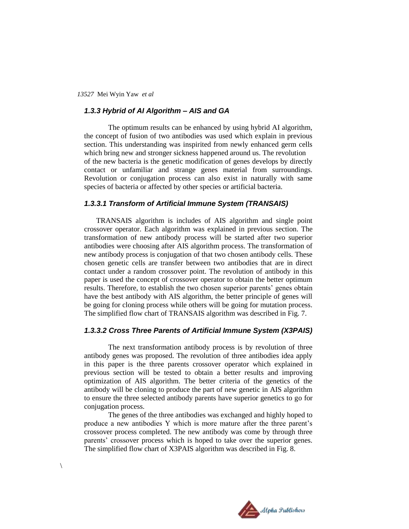## *1.3.3 Hybrid of AI Algorithm – AIS and GA*

The optimum results can be enhanced by using hybrid AI algorithm, the concept of fusion of two antibodies was used which explain in previous section. This understanding was inspirited from newly enhanced germ cells which bring new and stronger sickness happened around us. The revolution of the new bacteria is the genetic modification of genes develops by directly contact or unfamiliar and strange genes material from surroundings. Revolution or conjugation process can also exist in naturally with same species of bacteria or affected by other species or artificial bacteria.

### *1.3.3.1 Transform of Artificial Immune System (TRANSAIS)*

TRANSAIS algorithm is includes of AIS algorithm and single point crossover operator. Each algorithm was explained in previous section. The transformation of new antibody process will be started after two superior antibodies were choosing after AIS algorithm process. The transformation of new antibody process is conjugation of that two chosen antibody cells. These chosen genetic cells are transfer between two antibodies that are in direct contact under a random crossover point. The revolution of antibody in this paper is used the concept of crossover operator to obtain the better optimum results. Therefore, to establish the two chosen superior parents' genes obtain have the best antibody with AIS algorithm, the better principle of genes will be going for cloning process while others will be going for mutation process. The simplified flow chart of TRANSAIS algorithm was described in Fig. 7.

#### *1.3.3.2 Cross Three Parents of Artificial Immune System (X3PAIS)*

The next transformation antibody process is by revolution of three antibody genes was proposed. The revolution of three antibodies idea apply in this paper is the three parents crossover operator which explained in previous section will be tested to obtain a better results and improving optimization of AIS algorithm. The better criteria of the genetics of the antibody will be cloning to produce the part of new genetic in AIS algorithm to ensure the three selected antibody parents have superior genetics to go for conjugation process.

The genes of the three antibodies was exchanged and highly hoped to produce a new antibodies Y which is more mature after the three parent's crossover process completed. The new antibody was come by through three parents' crossover process which is hoped to take over the superior genes. The simplified flow chart of X3PAIS algorithm was described in Fig. 8.



 $\setminus$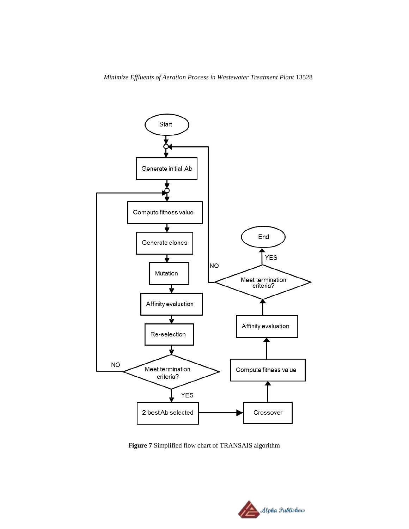

F**igure 7** Simplified flow chart of TRANSAIS algorithm

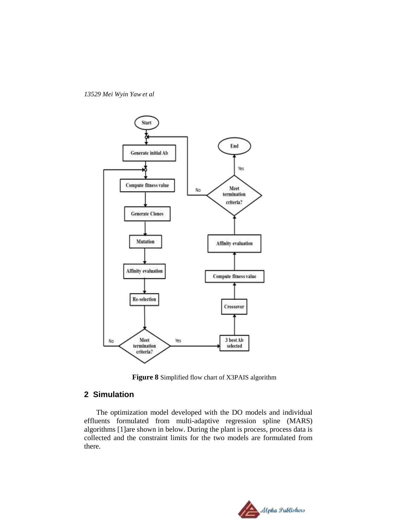

**Figure 8** Simplified flow chart of X3PAIS algorithm

# **2 Simulation**

The optimization model developed with the DO models and individual effluents formulated from multi-adaptive regression spline (MARS) algorithms [1]are shown in below. During the plant is process, process data is collected and the constraint limits for the two models are formulated from there.

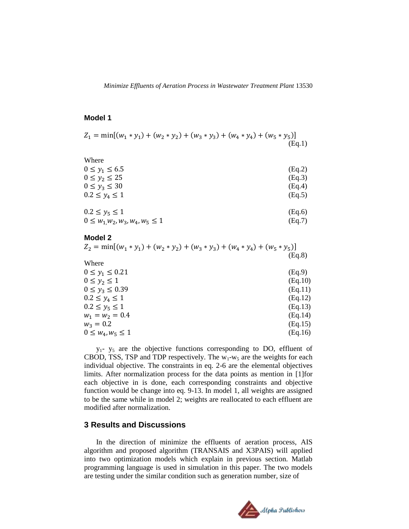#### **Model 1**

$$
Z_1 = \min[(w_1 * y_1) + (w_2 * y_2) + (w_3 * y_3) + (w_4 * y_4) + (w_5 * y_5)]
$$
\n(Eq.1)

| Where                                  |        |
|----------------------------------------|--------|
| $0 \le y_1 \le 6.5$                    | (Eq.2) |
| $0 \le y_2 \le 25$                     | (Eq.3) |
| $0 \le y_3 \le 30$                     | (Eq.4) |
| $0.2 \le y_4 \le 1$                    | (Eq.5) |
|                                        |        |
| $0.2 \le y_5 \le 1$                    | (Eq.6) |
| $0 \leq w_1 w_2, w_3, w_4, w_5 \leq 1$ | (Eq.7) |

#### **Model 2**

| $Z_2 = min[(w_1 * y_1) + (w_2 * y_2) + (w_3 * y_3) + (w_4 * y_4) + (w_5 * y_5)]$ |  |        |
|----------------------------------------------------------------------------------|--|--------|
|                                                                                  |  | (Eq.8) |

| (Eq.9)  |
|---------|
| (Eq.10) |
| (Eq.11) |
| (Eq.12) |
| (Eq.13) |
| (Eq.14) |
| (Eq.15) |
| (Eq.16) |
|         |

y1- y<sup>5</sup> are the objective functions corresponding to DO, effluent of CBOD, TSS, TSP and TDP respectively. The  $w_1-w_5$  are the weights for each individual objective. The constraints in eq. 2-6 are the elemental objectives limits. After normalization process for the data points as mention in [1]for each objective in is done, each corresponding constraints and objective function would be change into eq. 9-13. In model 1, all weights are assigned to be the same while in model 2; weights are reallocated to each effluent are modified after normalization.

### **3 Results and Discussions**

In the direction of minimize the effluents of aeration process, AIS algorithm and proposed algorithm (TRANSAIS and X3PAIS) will applied into two optimization models which explain in previous section. Matlab programming language is used in simulation in this paper. The two models are testing under the similar condition such as generation number, size of

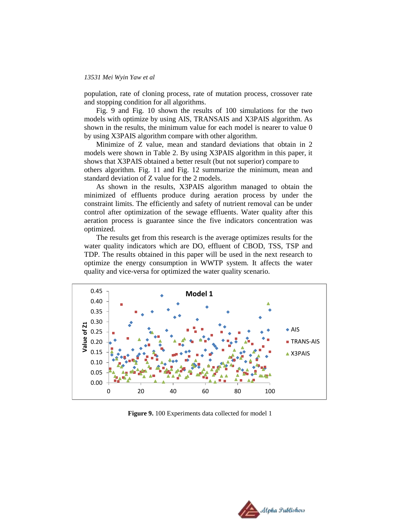population, rate of cloning process, rate of mutation process, crossover rate and stopping condition for all algorithms.

Fig. 9 and Fig. 10 shown the results of 100 simulations for the two models with optimize by using AIS, TRANSAIS and X3PAIS algorithm. As shown in the results, the minimum value for each model is nearer to value 0 by using X3PAIS algorithm compare with other algorithm.

Minimize of Z value, mean and standard deviations that obtain in 2 models were shown in Table 2. By using X3PAIS algorithm in this paper, it shows that X3PAIS obtained a better result (but not superior) compare to

others algorithm. Fig. 11 and Fig. 12 summarize the minimum, mean and standard deviation of Z value for the 2 models.

As shown in the results, X3PAIS algorithm managed to obtain the minimized of effluents produce during aeration process by under the constraint limits. The efficiently and safety of nutrient removal can be under control after optimization of the sewage effluents. Water quality after this aeration process is guarantee since the five indicators concentration was optimized.

The results get from this research is the average optimizes results for the water quality indicators which are DO, effluent of CBOD, TSS, TSP and TDP. The results obtained in this paper will be used in the next research to optimize the energy consumption in WWTP system. It affects the water quality and vice-versa for optimized the water quality scenario.



 **Figure 9.** 100 Experiments data collected for model 1

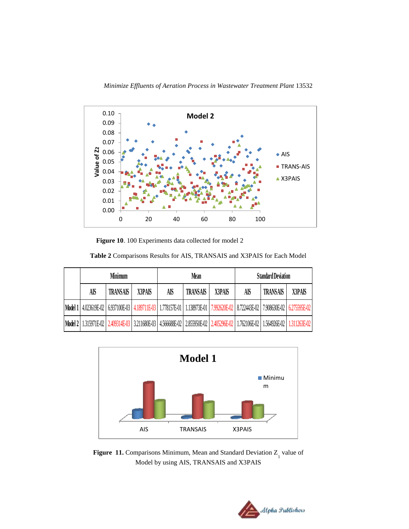



**Figure 10**. 100 Experiments data collected for model 2

|  | Table 2 Comparisons Results for AIS, TRANSAIS and X3PAIS for Each Model |
|--|-------------------------------------------------------------------------|
|--|-------------------------------------------------------------------------|

| Minimum |          |                                                                                                                                                | Mean |                 |        | <b>Standard Deviation</b> |                 |        |
|---------|----------|------------------------------------------------------------------------------------------------------------------------------------------------|------|-----------------|--------|---------------------------|-----------------|--------|
| Aß      | TRANSAIS | X3PAIS                                                                                                                                         | AIS  | <b>TRANSAIS</b> | X3PAIS | AIS                       | <b>TRANSAIS</b> | X3PAIS |
|         |          | Model 1 4.023619E-02 6.937100E-03 4.189711E-03 1.778157E-01 1.138973E-01 7.992620E-02 8.722443E-02 7.908630E-02 6.275595E-02                   |      |                 |        |                           |                 |        |
|         |          | Model 2   1.315971E-02   2.409314E-03   3.211680E-03   4.566688E-02   2.855950E-02   2.405296E-02   1.762106E-02   1.564926E-02   1.311263E-02 |      |                 |        |                           |                 |        |



**Figure 11.** Comparisons Minimum, Mean and Standard Deviation Z<sub>1</sub> value of Model by using AIS, TRANSAIS and X3PAIS

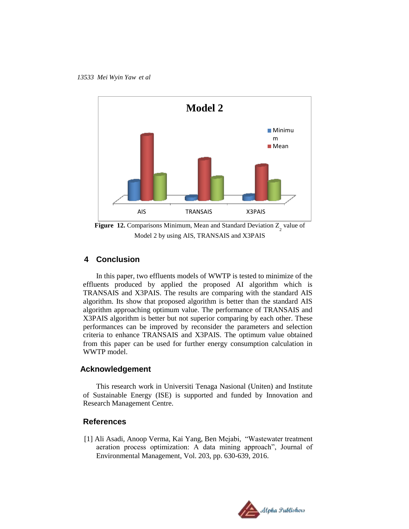

**Figure 12.** Comparisons Minimum, Mean and Standard Deviation  $Z_2$  value of Model 2 by using AIS, TRANSAIS and X3PAIS

# **4 Conclusion**

In this paper, two effluents models of WWTP is tested to minimize of the effluents produced by applied the proposed AI algorithm which is TRANSAIS and X3PAIS. The results are comparing with the standard AIS algorithm. Its show that proposed algorithm is better than the standard AIS algorithm approaching optimum value. The performance of TRANSAIS and X3PAIS algorithm is better but not superior comparing by each other. These performances can be improved by reconsider the parameters and selection criteria to enhance TRANSAIS and X3PAIS. The optimum value obtained from this paper can be used for further energy consumption calculation in WWTP model.

#### **Acknowledgement**

This research work in Universiti Tenaga Nasional (Uniten) and Institute of Sustainable Energy (ISE) is supported and funded by Innovation and Research Management Centre.

#### **References**

[1] Ali Asadi, Anoop Verma, Kai Yang, Ben Mejabi, "Wastewater treatment aeration process optimization: A data mining approach", Journal of Environmental Management, Vol. 203, pp. 630-639, 2016.

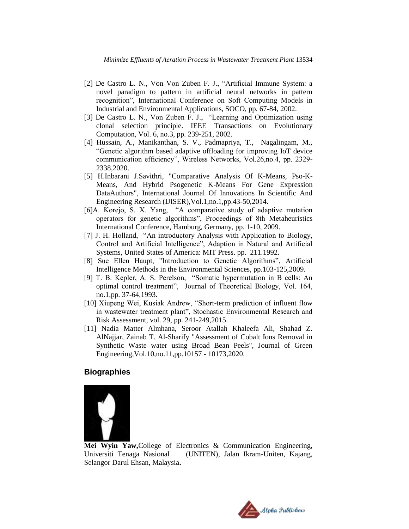- [2] De Castro L. N., Von Von Zuben F. J., "Artificial Immune System: a novel paradigm to pattern in artificial neural networks in pattern recognition", International Conference on Soft Computing Models in Industrial and Environmental Applications, SOCO, pp. 67-84, 2002.
- [3] De Castro L. N., Von Zuben F. J., "Learning and Optimization using clonal selection principle. IEEE Transactions on Evolutionary Computation, Vol. 6, no.3, pp. 239-251, 2002.
- [4] Hussain, A., Manikanthan, S. V., Padmapriya, T., Nagalingam, M., "Genetic algorithm based adaptive offloading for improving IoT device communication efficiency", Wireless Networks, Vol.26,no.4, pp. 2329- 2338,2020.
- [5] H.Inbarani J.Savithri, "Comparative Analysis Of K-Means, Pso-K-Means, And Hybrid Psogenetic K-Means For Gene Expression DataAuthors", International Journal Of Innovations In Scientific And Engineering Research (IJISER),Vol.1,no.1,pp.43-50,2014.
- [6]A. Korejo, S. X. Yang, "A comparative study of adaptive mutation operators for genetic algorithms", Proceedings of 8th Metaheuristics International Conference, Hamburg, Germany, pp. 1-10, 2009.
- [7] J. H. Holland, "An introductory Analysis with Application to Biology, Control and Artificial Intelligence", Adaption in Natural and Artificial Systems, United States of America: MIT Press. pp. 211.1992.
- [8] Sue Ellen Haupt, "Introduction to Genetic Algorithms", Artificial Intelligence Methods in the Environmental Sciences, pp.103-125,2009.
- [9] T. B. Kepler, A. S. Perelson, "Somatic hypermutation in B cells: An optimal control treatment", Journal of Theoretical Biology, Vol. 164, no.1,pp. 37-64,1993.
- [10] Xiupeng Wei, Kusiak Andrew, "Short-term prediction of influent flow in wastewater treatment plant", Stochastic Environmental Research and Risk Assessment, vol. 29, pp. 241-249,2015.
- [11] Nadia Matter Almhana, Seroor Atallah Khaleefa Ali, Shahad Z. AlNajjar, Zainab T. Al-Sharify "Assessment of Cobalt Ions Removal in Synthetic Waste water using Broad Bean Peels", Journal of Green Engineering,Vol.10,no.11,pp.10157 - 10173,2020.

# **Biographies**



**Mei Wyin Yaw,**College of Electronics & Communication Engineering, Universiti Tenaga Nasional (UNITEN), Jalan Ikram-Uniten, Kajang, Selangor Darul Ehsan, Malaysia**.**